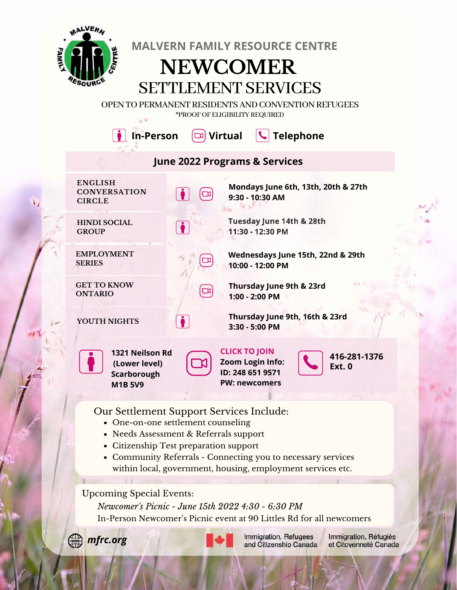

**MALVERN FAMILY RESOURCE CENTRE**

## **NEWCOMER SETTLEMENT SERVICES**

OPEN TO PERMANENT RESIDENTS AND CONVENTION REFUGEES \*PROOFOF ELIGIBILITYREQUIRED



Our Settlement Support Services Include:

- One-on-one settlement counseling
- Needs Assessment & Referrals support
- Citizenship Test preparation support
- Community Referrals Connecting you to necessary services within local, government, housing, employment services etc.

Upcoming Special Events:

*Newcomer's Picnic - June 15th 2022 4:30 - 6:30 PM* In-Person Newcomer's Picnic event at 90 Littles Rd for all newcomers





Immigration, Refugees and Citizenship Canada Immigration, Réfugiés et Citoyenneté Canada